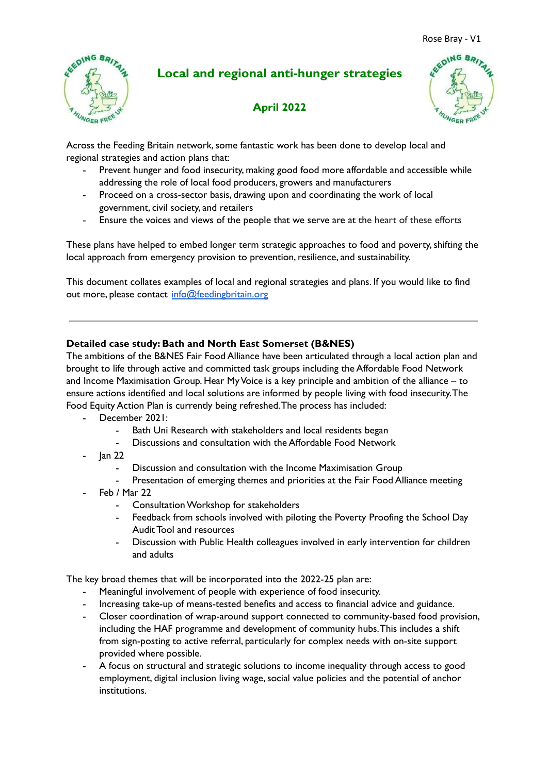

# **Local and regional anti-hunger strategies**

## **April 2022**



Across the Feeding Britain network, some fantastic work has been done to develop local and regional strategies and action plans that:

- Prevent hunger and food insecurity, making good food more affordable and accessible while addressing the role of local food producers, growers and manufacturers
- Proceed on a cross-sector basis, drawing upon and coordinating the work of local government, civil society, and retailers
- Ensure the voices and views of the people that we serve are at the heart of these efforts

These plans have helped to embed longer term strategic approaches to food and poverty, shifting the local approach from emergency provision to prevention, resilience, and sustainability.

This document collates examples of local and regional strategies and plans. If you would like to find out more, please contact [info@feedingbritain.org](mailto:info@feedingbritain.org)

## **Detailed case study: Bath and North East Somerset (B&NES)**

The ambitions of the B&NES Fair Food Alliance have been articulated through a local action plan and brought to life through active and committed task groups including the Affordable Food Network and Income Maximisation Group. Hear MyVoice is a key principle and ambition of the alliance – to ensure actions identified and local solutions are informed by people living with food insecurity.The Food Equity Action Plan is currently being refreshed.The process has included:

- December 2021:
	- Bath Uni Research with stakeholders and local residents began
	- Discussions and consultation with the Affordable Food Network
- Jan 22
	- Discussion and consultation with the Income Maximisation Group
	- Presentation of emerging themes and priorities at the Fair Food Alliance meeting
- Feb / Mar 22
	- Consultation Workshop for stakeholders
	- Feedback from schools involved with piloting the Poverty Proofing the School Day Audit Tool and resources
	- Discussion with Public Health colleagues involved in early intervention for children and adults

The key broad themes that will be incorporated into the 2022-25 plan are:

- Meaningful involvement of people with experience of food insecurity.
- Increasing take-up of means-tested benefits and access to financial advice and guidance.
- Closer coordination of wrap-around support connected to community-based food provision, including the HAF programme and development of community hubs.This includes a shift from sign-posting to active referral, particularly for complex needs with on-site support provided where possible.
- A focus on structural and strategic solutions to income inequality through access to good employment, digital inclusion living wage, social value policies and the potential of anchor institutions.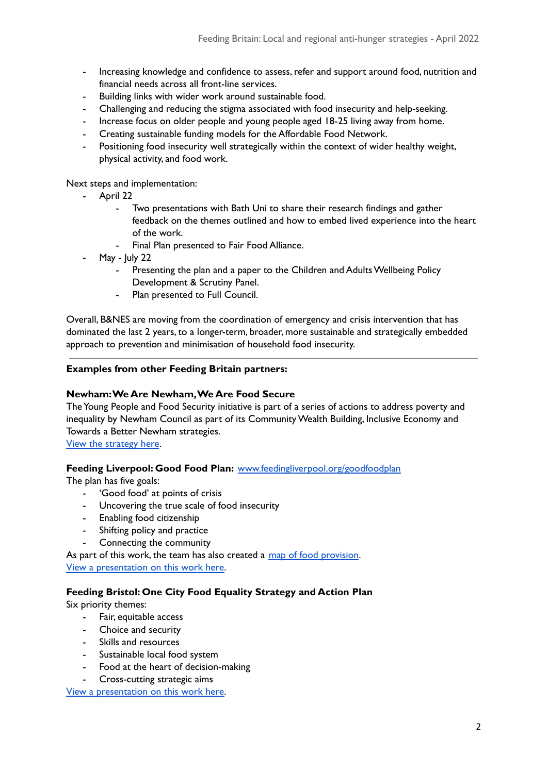- Increasing knowledge and confidence to assess, refer and support around food, nutrition and financial needs across all front-line services.
- Building links with wider work around sustainable food.
- Challenging and reducing the stigma associated with food insecurity and help-seeking.
- Increase focus on older people and young people aged 18-25 living away from home.
- Creating sustainable funding models for the Affordable Food Network.
- Positioning food insecurity well strategically within the context of wider healthy weight, physical activity, and food work.

Next steps and implementation:

- April 22
	- Two presentations with Bath Uni to share their research findings and gather feedback on the themes outlined and how to embed lived experience into the heart of the work.
	- Final Plan presented to Fair Food Alliance.
- May  $\lfloor$ uly 22
	- Presenting the plan and a paper to the Children and Adults Wellbeing Policy Development & Scrutiny Panel.
	- Plan presented to Full Council.

Overall, B&NES are moving from the coordination of emergency and crisis intervention that has dominated the last 2 years, to a longer-term, broader, more sustainable and strategically embedded approach to prevention and minimisation of household food insecurity.

#### **Examples from other Feeding Britain partners:**

#### **Newham:We Are Newham,We Are Food Secure**

The Young People and Food Security initiative is part of a series of actions to address poverty and inequality by Newham Council as part of its Community Wealth Building, Inclusive Economy and Towards a Better Newham strategies.

View the [strategy](https://www.newham.gov.uk/downloads/file/3454/newham-food-security-strategy-final) here.

#### **Feeding Liverpool: Good Food Plan:** [www.feedingliverpool.org/goodfoodplan](http://www.feedingliverpool.org/goodfoodplan)

The plan has five goals:

- 'Good food' at points of crisis
- Uncovering the true scale of food insecurity
- Enabling food citizenship
- Shifting policy and practice
- Connecting the community

As part of this work, the team has also created a map of food [provision](https://www.feedingliverpool.org/community-food-spaces/map/). View a [presentation](https://docs.google.com/presentation/d/1i5-lwz4dXM5N-Vay6AULpBLgKDzRUOBW/edit?usp=sharing&ouid=100550452057591316422&rtpof=true&sd=true) on this work here.

#### **Feeding Bristol: One City Food Equality Strategy and Action Plan**

Six priority themes:

- Fair, equitable access
- Choice and security
- Skills and resources
- Sustainable local food system
- Food at the heart of decision-making
- Cross-cutting strategic aims

View a [presentation](https://drive.google.com/file/d/1nhsoygPZ9BrKxOM7nSx41ZGIZFenZ864/view?usp=sharing) on this work here.